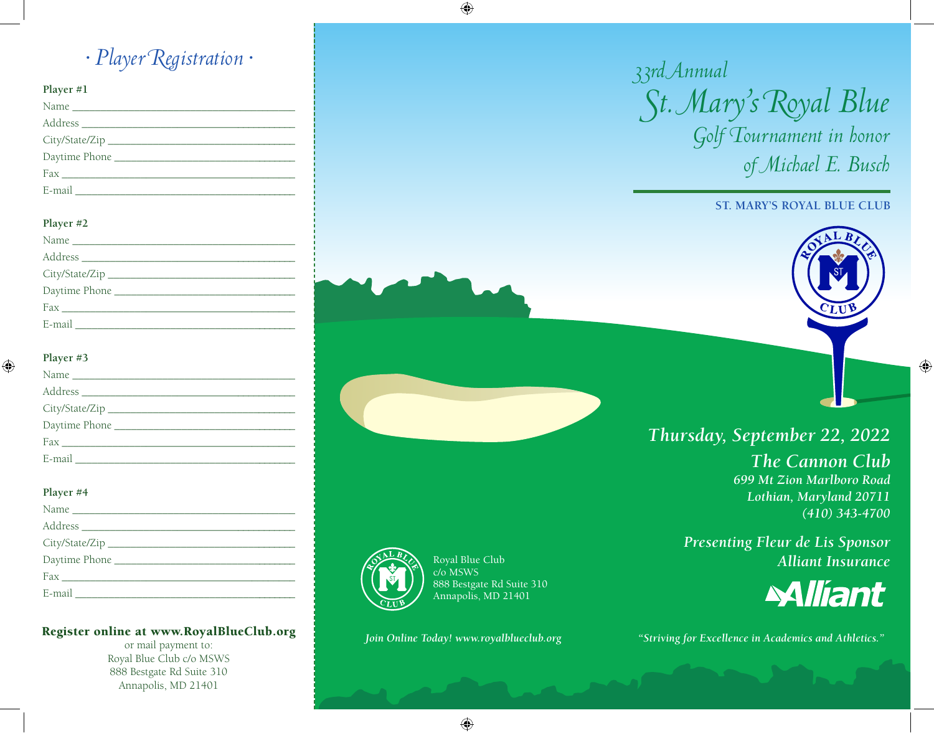*• Player Registration •*

#### **Player #1**

| E-mail and the contract of the contract of the contract of the contract of the contract of the contract of the |  |
|----------------------------------------------------------------------------------------------------------------|--|

#### **Player #2**

#### **Player #3**

#### **Player #4**

| City/State/Zip                                                                                                 |
|----------------------------------------------------------------------------------------------------------------|
|                                                                                                                |
| $\frac{Fax_{\perp}}{x}$                                                                                        |
| E-mail and the contract of the contract of the contract of the contract of the contract of the contract of the |

#### Register online at www.RoyalBlueClub.org

or mail payment to: Royal Blue Club c/o MSWS 888 Bestgate Rd Suite 310 Annapolis, MD 21401

# *33rd Annual St. Mary's Royal Blue Golf Tournament in honor of Michael E. Busch*

## **ST. MARY'S ROYAL BLUE CLUB**

## *Thursday, September 22, 2022*

*The Cannon Club 699 Mt Zion Marlboro Road Lothian, Maryland 20711 (410) 343-4700*

*Presenting Fleur de Lis Sponsor Alliant Insurance*



*Join Online Today! www.royalblueclub.org "Striving for Excellence in Academics and Athletics."*



Royal Blue Club c/o MSWS 888 Bestgate Rd Suite 310 Annapolis, MD 21401